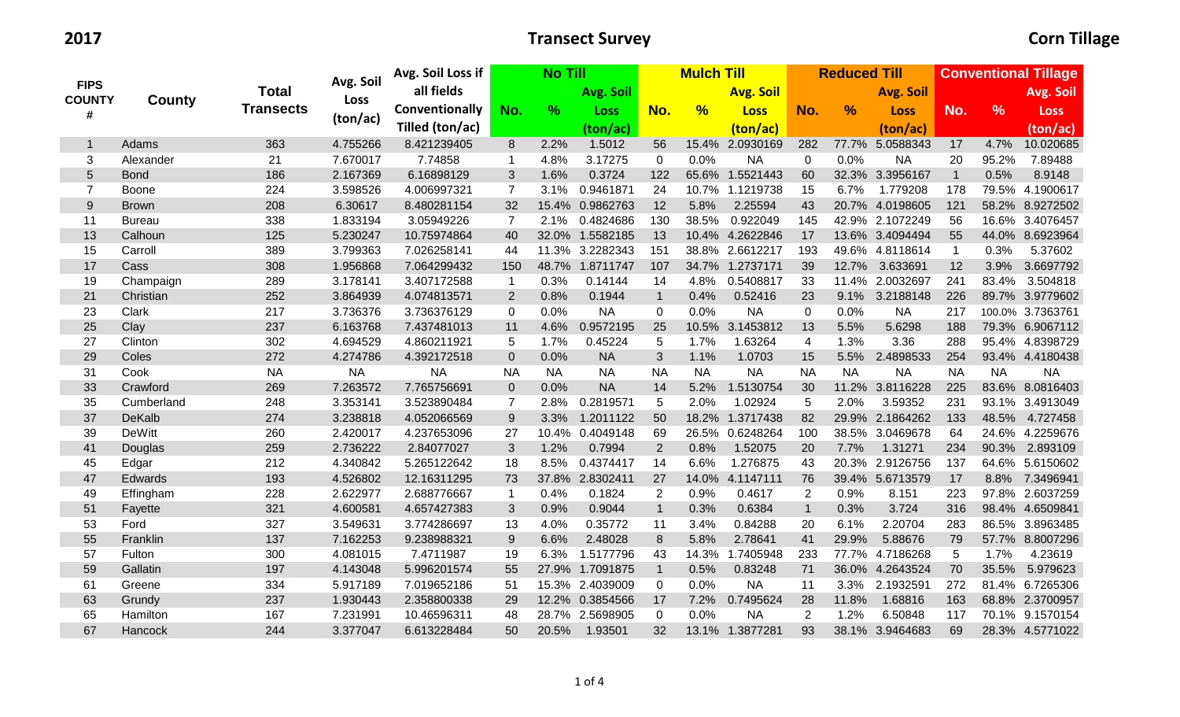## **2017 Transect Survey Corn Tillage**

|                |               |                  |           | Avg. Soil Loss if | <b>No Till</b> |           |                 | <b>Mulch Till</b> |           |                  |                | <b>Reduced Till</b> |                  | <b>Conventional Tillage</b> |               |                  |
|----------------|---------------|------------------|-----------|-------------------|----------------|-----------|-----------------|-------------------|-----------|------------------|----------------|---------------------|------------------|-----------------------------|---------------|------------------|
| <b>FIPS</b>    |               | <b>Total</b>     | Avg. Soil | all fields        |                |           | Avg. Soil       |                   |           | <b>Avg. Soil</b> |                |                     | <b>Avg. Soil</b> |                             |               | Avg. Soil        |
| <b>COUNTY</b>  | County        | <b>Transects</b> | Loss      | Conventionally    | No.            | $\%$      | <b>Loss</b>     | No.               | %         | <b>Loss</b>      | No.            | $\frac{9}{6}$       | <b>Loss</b>      | No.                         | $\frac{9}{6}$ | <b>Loss</b>      |
| #              |               |                  | (ton/ac)  | Tilled (ton/ac)   |                |           | (ton/ac)        |                   |           | (ton/ac)         |                |                     | (ton/ac)         |                             |               | (ton/ac)         |
| $\mathbf{1}$   | Adams         | 363              | 4.755266  | 8.421239405       | 8              | 2.2%      | 1.5012          | 56                |           | 15.4% 2.0930169  | 282            | 77.7%               | 5.0588343        | 17                          | 4.7%          | 10.020685        |
| 3              | Alexander     | 21               | 7.670017  | 7.74858           |                | 4.8%      | 3.17275         | $\mathbf 0$       | 0.0%      | <b>NA</b>        | 0              | 0.0%                | <b>NA</b>        | 20                          | 95.2%         | 7.89488          |
| 5              | <b>Bond</b>   | 186              | 2.167369  | 6.16898129        | 3              | 1.6%      | 0.3724          | 122               |           | 65.6% 1.5521443  | 60             |                     | 32.3% 3.3956167  | $\overline{1}$              | 0.5%          | 8.9148           |
| $\overline{7}$ | Boone         | 224              | 3.598526  | 4.006997321       | $\overline{7}$ | 3.1%      | 0.9461871       | 24                |           | 10.7% 1.1219738  | 15             | 6.7%                | 1.779208         | 178                         |               | 79.5% 4.1900617  |
| $9$            | <b>Brown</b>  | 208              | 6.30617   | 8.480281154       | 32             |           | 15.4% 0.9862763 | 12                | 5.8%      | 2.25594          | 43             |                     | 20.7% 4.0198605  | 121                         |               | 58.2% 8.9272502  |
| 11             | <b>Bureau</b> | 338              | 1.833194  | 3.05949226        | 7              | 2.1%      | 0.4824686       | 130               | 38.5%     | 0.922049         | 145            |                     | 42.9% 2.1072249  | 56                          |               | 16.6% 3.4076457  |
| 13             | Calhoun       | 125              | 5.230247  | 10.75974864       | 40             |           | 32.0% 1.5582185 | 13                |           | 10.4% 4.2622846  | 17             |                     | 13.6% 3.4094494  | 55                          |               | 44.0% 8.6923964  |
| 15             | Carroll       | 389              | 3.799363  | 7.026258141       | 44             |           | 11.3% 3.2282343 | 151               |           | 38.8% 2.6612217  | 193            |                     | 49.6% 4.8118614  | $\mathbf{1}$                | 0.3%          | 5.37602          |
| 17             | Cass          | 308              | 1.956868  | 7.064299432       | 150            | 48.7%     | 1.8711747       | 107               |           | 34.7% 1.2737171  | 39             | 12.7%               | 3.633691         | 12                          | 3.9%          | 3.6697792        |
| 19             | Champaign     | 289              | 3.178141  | 3.407172588       | -1             | 0.3%      | 0.14144         | 14                | 4.8%      | 0.5408817        | 33             |                     | 11.4% 2.0032697  | 241                         | 83.4%         | 3.504818         |
| 21             | Christian     | 252              | 3.864939  | 4.074813571       | $\overline{2}$ | 0.8%      | 0.1944          | $\overline{1}$    | 0.4%      | 0.52416          | 23             | 9.1%                | 3.2188148        | 226                         |               | 89.7% 3.9779602  |
| 23             | Clark         | 217              | 3.736376  | 3.736376129       | $\mathbf 0$    | 0.0%      | <b>NA</b>       | $\overline{0}$    | 0.0%      | <b>NA</b>        | $\mathbf 0$    | 0.0%                | <b>NA</b>        | 217                         |               | 100.0% 3.7363761 |
| 25             | Clay          | 237              | 6.163768  | 7.437481013       | 11             | 4.6%      | 0.9572195       | 25                |           | 10.5% 3.1453812  | 13             | 5.5%                | 5.6298           | 188                         |               | 79.3% 6.9067112  |
| 27             | Clinton       | 302              | 4.694529  | 4.860211921       | 5              | 1.7%      | 0.45224         | 5                 | 1.7%      | 1.63264          | 4              | 1.3%                | 3.36             | 288                         |               | 95.4% 4.8398729  |
| 29             | Coles         | 272              | 4.274786  | 4.392172518       | $\overline{0}$ | 0.0%      | <b>NA</b>       | 3                 | 1.1%      | 1.0703           | 15             | 5.5%                | 2.4898533        | 254                         |               | 93.4% 4.4180438  |
| 31             | Cook          | <b>NA</b>        | <b>NA</b> | <b>NA</b>         | <b>NA</b>      | <b>NA</b> | <b>NA</b>       | <b>NA</b>         | <b>NA</b> | <b>NA</b>        | <b>NA</b>      | <b>NA</b>           | <b>NA</b>        | <b>NA</b>                   | <b>NA</b>     | <b>NA</b>        |
| 33             | Crawford      | 269              | 7.263572  | 7.765756691       | $\overline{0}$ | 0.0%      | <b>NA</b>       | 14                | 5.2%      | 1.5130754        | 30             |                     | 11.2% 3.8116228  | 225                         |               | 83.6% 8.0816403  |
| 35             | Cumberland    | 248              | 3.353141  | 3.523890484       | 7              | 2.8%      | 0.2819571       | 5                 | 2.0%      | 1.02924          | $\sqrt{5}$     | 2.0%                | 3.59352          | 231                         |               | 93.1% 3.4913049  |
| 37             | DeKalb        | 274              | 3.238818  | 4.052066569       | 9              | 3.3%      | 1.2011122       | 50                |           | 18.2% 1.3717438  | 82             |                     | 29.9% 2.1864262  | 133                         | 48.5%         | 4.727458         |
| 39             | <b>DeWitt</b> | 260              | 2.420017  | 4.237653096       | 27             |           | 10.4% 0.4049148 | 69                |           | 26.5% 0.6248264  | 100            |                     | 38.5% 3.0469678  | 64                          |               | 24.6% 4.2259676  |
| 41             | Douglas       | 259              | 2.736222  | 2.84077027        | 3              | 1.2%      | 0.7994          | $\overline{2}$    | 0.8%      | 1.52075          | 20             | 7.7%                | 1.31271          | 234                         |               | 90.3% 2.893109   |
| 45             | Edgar         | 212              | 4.340842  | 5.265122642       | 18             | 8.5%      | 0.4374417       | 14                | 6.6%      | 1.276875         | 43             |                     | 20.3% 2.9126756  | 137                         |               | 64.6% 5.6150602  |
| 47             | Edwards       | 193              | 4.526802  | 12.16311295       | 73             |           | 37.8% 2.8302411 | 27                |           | 14.0% 4.1147111  | 76             |                     | 39.4% 5.6713579  | 17                          |               | 8.8% 7.3496941   |
| 49             | Effingham     | 228              | 2.622977  | 2.688776667       | $\mathbf{1}$   | 0.4%      | 0.1824          | $\overline{2}$    | 0.9%      | 0.4617           | $\overline{2}$ | 0.9%                | 8.151            | 223                         |               | 97.8% 2.6037259  |
| 51             | Fayette       | 321              | 4.600581  | 4.657427383       | $\mathfrak{S}$ | 0.9%      | 0.9044          | $\overline{1}$    | 0.3%      | 0.6384           | $\mathbf{1}$   | 0.3%                | 3.724            | 316                         |               | 98.4% 4.6509841  |
| 53             | Ford          | 327              | 3.549631  | 3.774286697       | 13             | 4.0%      | 0.35772         | 11                | 3.4%      | 0.84288          | 20             | 6.1%                | 2.20704          | 283                         |               | 86.5% 3.8963485  |
| 55             | Franklin      | 137              | 7.162253  | 9.238988321       | 9              | 6.6%      | 2.48028         | 8                 | 5.8%      | 2.78641          | 41             | 29.9%               | 5.88676          | 79                          |               | 57.7% 8.8007296  |
| 57             | Fulton        | 300              | 4.081015  | 7.4711987         | 19             | 6.3%      | 1.5177796       | 43                | 14.3%     | 1.7405948        | 233            |                     | 77.7% 4.7186268  | 5                           | 1.7%          | 4.23619          |
| 59             | Gallatin      | 197              | 4.143048  | 5.996201574       | 55             |           | 27.9% 1.7091875 | $\overline{1}$    | 0.5%      | 0.83248          | 71             |                     | 36.0% 4.2643524  | 70                          | 35.5%         | 5.979623         |
| 61             | Greene        | 334              | 5.917189  | 7.019652186       | 51             |           | 15.3% 2.4039009 | $\mathbf 0$       | 0.0%      | <b>NA</b>        | 11             | 3.3%                | 2.1932591        | 272                         |               | 81.4% 6.7265306  |
| 63             | Grundy        | 237              | 1.930443  | 2.358800338       | 29             |           | 12.2% 0.3854566 | 17                | 7.2%      | 0.7495624        | 28             | 11.8%               | 1.68816          | 163                         |               | 68.8% 2.3700957  |
| 65             | Hamilton      | 167              | 7.231991  | 10.46596311       | 48             | 28.7%     | 2.5698905       | $\mathbf 0$       | 0.0%      | <b>NA</b>        | 2              | 1.2%                | 6.50848          | 117                         | 70.1%         | 9.1570154        |
| 67             | Hancock       | 244              | 3.377047  | 6.613228484       | 50             | 20.5%     | 1.93501         | 32                | 13.1%     | 1.3877281        | 93             |                     | 38.1% 3.9464683  | 69                          |               | 28.3% 4.5771022  |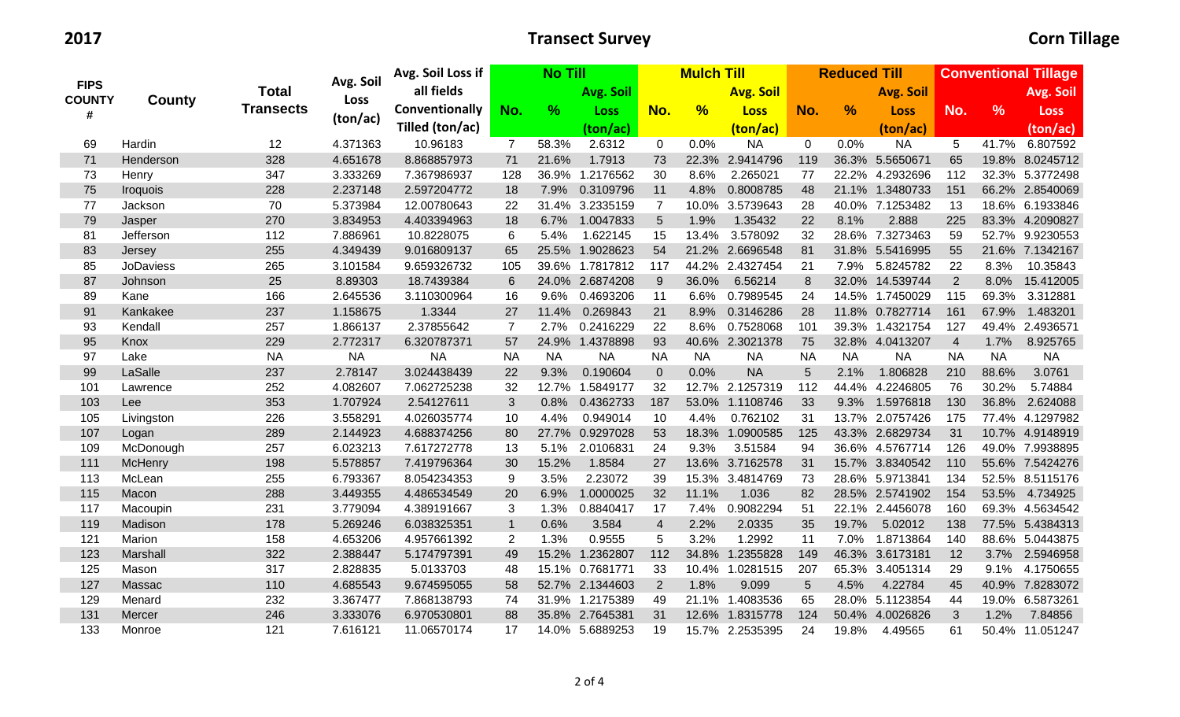|                    |                  |                  |           | Avg. Soil Loss if |                 | <b>No Till</b> |                  |                         | <b>Mulch Till</b> |                  |             | <b>Reduced Till</b> |                  | <b>Conventional Tillage</b> |               |                 |
|--------------------|------------------|------------------|-----------|-------------------|-----------------|----------------|------------------|-------------------------|-------------------|------------------|-------------|---------------------|------------------|-----------------------------|---------------|-----------------|
| <b>FIPS</b>        |                  | <b>Total</b>     | Avg. Soil | all fields        |                 |                | <b>Avg. Soil</b> |                         |                   | <b>Avg. Soil</b> |             |                     | <b>Avg. Soil</b> |                             |               | Avg. Soil       |
| <b>COUNTY</b><br># | County           | <b>Transects</b> | Loss      | Conventionally    | No.             | $\%$           | Loss             | No.                     | %                 | <b>Loss</b>      | No.         | $\frac{9}{6}$       | <b>Loss</b>      | No.                         | $\frac{9}{6}$ | <b>Loss</b>     |
|                    |                  |                  | (ton/ac)  | Tilled (ton/ac)   |                 |                | (ton/ac)         |                         |                   | (ton/ac)         |             |                     | (ton/ac)         |                             |               | (ton/ac)        |
| 69                 | Hardin           | 12               | 4.371363  | 10.96183          | $\overline{7}$  | 58.3%          | 2.6312           | $\mathbf 0$             | 0.0%              | <b>NA</b>        | $\mathbf 0$ | 0.0%                | <b>NA</b>        | 5                           | 41.7%         | 6.807592        |
| 71                 | Henderson        | 328              | 4.651678  | 8.868857973       | 71              | 21.6%          | 1.7913           | 73                      |                   | 22.3% 2.9414796  | 119         |                     | 36.3% 5.5650671  | 65                          |               | 19.8% 8.0245712 |
| 73                 | Henry            | 347              | 3.333269  | 7.367986937       | 128             |                | 36.9% 1.2176562  | 30                      | 8.6%              | 2.265021         | 77          |                     | 22.2% 4.2932696  | 112                         |               | 32.3% 5.3772498 |
| 75                 | <b>Iroquois</b>  | 228              | 2.237148  | 2.597204772       | 18              | 7.9%           | 0.3109796        | 11                      | 4.8%              | 0.8008785        | 48          |                     | 21.1% 1.3480733  | 151                         |               | 66.2% 2.8540069 |
| 77                 | Jackson          | 70               | 5.373984  | 12.00780643       | 22              |                | 31.4% 3.2335159  | $\overline{7}$          |                   | 10.0% 3.5739643  | 28          |                     | 40.0% 7.1253482  | 13                          |               | 18.6% 6.1933846 |
| 79                 | Jasper           | 270              | 3.834953  | 4.403394963       | 18              | 6.7%           | 1.0047833        | 5                       | 1.9%              | 1.35432          | 22          | 8.1%                | 2.888            | 225                         |               | 83.3% 4.2090827 |
| 81                 | Jefferson        | 112              | 7.886961  | 10.8228075        | 6               | 5.4%           | 1.622145         | 15                      | 13.4%             | 3.578092         | 32          |                     | 28.6% 7.3273463  | 59                          |               | 52.7% 9.9230553 |
| 83                 | Jersey           | 255              | 4.349439  | 9.016809137       | 65              |                | 25.5% 1.9028623  | 54                      |                   | 21.2% 2.6696548  | 81          |                     | 31.8% 5.5416995  | 55                          |               | 21.6% 7.1342167 |
| 85                 | <b>JoDaviess</b> | 265              | 3.101584  | 9.659326732       | 105             |                | 39.6% 1.7817812  | 117                     |                   | 44.2% 2.4327454  | 21          | 7.9%                | 5.8245782        | 22                          | 8.3%          | 10.35843        |
| 87                 | Johnson          | 25               | 8.89303   | 18.7439384        | $6\phantom{1}6$ |                | 24.0% 2.6874208  | 9                       | 36.0%             | 6.56214          | $\bf 8$     |                     | 32.0% 14.539744  | 2                           | 8.0%          | 15.412005       |
| 89                 | Kane             | 166              | 2.645536  | 3.110300964       | 16              | 9.6%           | 0.4693206        | 11                      | 6.6%              | 0.7989545        | 24          |                     | 14.5% 1.7450029  | 115                         | 69.3%         | 3.312881        |
| 91                 | Kankakee         | 237              | 1.158675  | 1.3344            | 27              | 11.4%          | 0.269843         | 21                      | 8.9%              | 0.3146286        | 28          |                     | 11.8% 0.7827714  | 161                         | 67.9%         | 1.483201        |
| 93                 | Kendall          | 257              | 1.866137  | 2.37855642        | $\overline{7}$  | 2.7%           | 0.2416229        | 22                      | 8.6%              | 0.7528068        | 101         |                     | 39.3% 1.4321754  | 127                         |               | 49.4% 2.4936571 |
| 95                 | Knox             | 229              | 2.772317  | 6.320787371       | 57              |                | 24.9% 1.4378898  | 93                      |                   | 40.6% 2.3021378  | 75          |                     | 32.8% 4.0413207  | $\overline{4}$              | 1.7%          | 8.925765        |
| 97                 | Lake             | <b>NA</b>        | <b>NA</b> | <b>NA</b>         | <b>NA</b>       | <b>NA</b>      | <b>NA</b>        | <b>NA</b>               | <b>NA</b>         | <b>NA</b>        | <b>NA</b>   | <b>NA</b>           | <b>NA</b>        | <b>NA</b>                   | <b>NA</b>     | <b>NA</b>       |
| 99                 | LaSalle          | 237              | 2.78147   | 3.024438439       | 22              | 9.3%           | 0.190604         | $\mathbf 0$             | 0.0%              | <b>NA</b>        | 5           | 2.1%                | 1.806828         | 210                         | 88.6%         | 3.0761          |
| 101                | Lawrence         | 252              | 4.082607  | 7.062725238       | 32              | 12.7%          | 1.5849177        | 32                      |                   | 12.7% 2.1257319  | 112         | 44.4%               | 4.2246805        | 76                          | 30.2%         | 5.74884         |
| 103                | Lee              | 353              | 1.707924  | 2.54127611        | $\mathfrak{B}$  | 0.8%           | 0.4362733        | 187                     |                   | 53.0% 1.1108746  | 33          | 9.3%                | 1.5976818        | 130                         | 36.8%         | 2.624088        |
| 105                | Livingston       | 226              | 3.558291  | 4.026035774       | 10              | 4.4%           | 0.949014         | 10                      | 4.4%              | 0.762102         | 31          |                     | 13.7% 2.0757426  | 175                         |               | 77.4% 4.1297982 |
| 107                | Logan            | 289              | 2.144923  | 4.688374256       | 80              |                | 27.7% 0.9297028  | 53                      | 18.3%             | 1.0900585        | 125         |                     | 43.3% 2.6829734  | 31                          |               | 10.7% 4.9148919 |
| 109                | McDonough        | 257              | 6.023213  | 7.617272778       | 13              | 5.1%           | 2.0106831        | 24                      | 9.3%              | 3.51584          | 94          |                     | 36.6% 4.5767714  | 126                         |               | 49.0% 7.9938895 |
| 111                | McHenry          | 198              | 5.578857  | 7.419796364       | 30              | 15.2%          | 1.8584           | 27                      |                   | 13.6% 3.7162578  | 31          |                     | 15.7% 3.8340542  | 110                         |               | 55.6% 7.5424276 |
| 113                | McLean           | 255              | 6.793367  | 8.054234353       | 9               | 3.5%           | 2.23072          | 39                      |                   | 15.3% 3.4814769  | 73          |                     | 28.6% 5.9713841  | 134                         |               | 52.5% 8.5115176 |
| 115                | Macon            | 288              | 3.449355  | 4.486534549       | 20              | 6.9%           | 1.0000025        | 32                      | 11.1%             | 1.036            | 82          |                     | 28.5% 2.5741902  | 154                         | 53.5%         | 4.734925        |
| 117                | Macoupin         | 231              | 3.779094  | 4.389191667       | 3               | 1.3%           | 0.8840417        | 17                      | 7.4%              | 0.9082294        | 51          |                     | 22.1% 2.4456078  | 160                         |               | 69.3% 4.5634542 |
| 119                | Madison          | 178              | 5.269246  | 6.038325351       | $\mathbf{1}$    | 0.6%           | 3.584            | $\overline{\mathbf{4}}$ | 2.2%              | 2.0335           | 35          | 19.7%               | 5.02012          | 138                         |               | 77.5% 5.4384313 |
| 121                | Marion           | 158              | 4.653206  | 4.957661392       | $\mathbf{2}$    | 1.3%           | 0.9555           | 5                       | 3.2%              | 1.2992           | 11          | 7.0%                | 1.8713864        | 140                         |               | 88.6% 5.0443875 |
| 123                | Marshall         | 322              | 2.388447  | 5.174797391       | 49              |                | 15.2% 1.2362807  | 112                     |                   | 34.8% 1.2355828  | 149         |                     | 46.3% 3.6173181  | 12                          |               | 3.7% 2.5946958  |
| 125                | Mason            | 317              | 2.828835  | 5.0133703         | 48              |                | 15.1% 0.7681771  | 33                      | 10.4%             | 1.0281515        | 207         |                     | 65.3% 3.4051314  | 29                          | 9.1%          | 4.1750655       |
| 127                | Massac           | 110              | 4.685543  | 9.674595055       | 58              |                | 52.7% 2.1344603  | $\overline{2}$          | 1.8%              | 9.099            | 5           | 4.5%                | 4.22784          | 45                          |               | 40.9% 7.8283072 |
| 129                | Menard           | 232              | 3.367477  | 7.868138793       | 74              |                | 31.9% 1.2175389  | 49                      | 21.1%             | 1.4083536        | 65          |                     | 28.0% 5.1123854  | 44                          |               | 19.0% 6.5873261 |
| 131                | Mercer           | 246              | 3.333076  | 6.970530801       | 88              |                | 35.8% 2.7645381  | 31                      |                   | 12.6% 1.8315778  | 124         |                     | 50.4% 4.0026826  | 3                           | 1.2%          | 7.84856         |
| 133                | Monroe           | 121              | 7.616121  | 11.06570174       | 17              |                | 14.0% 5.6889253  | 19                      | 15.7%             | 2.2535395        | 24          | 19.8%               | 4.49565          | 61                          |               | 50.4% 11.051247 |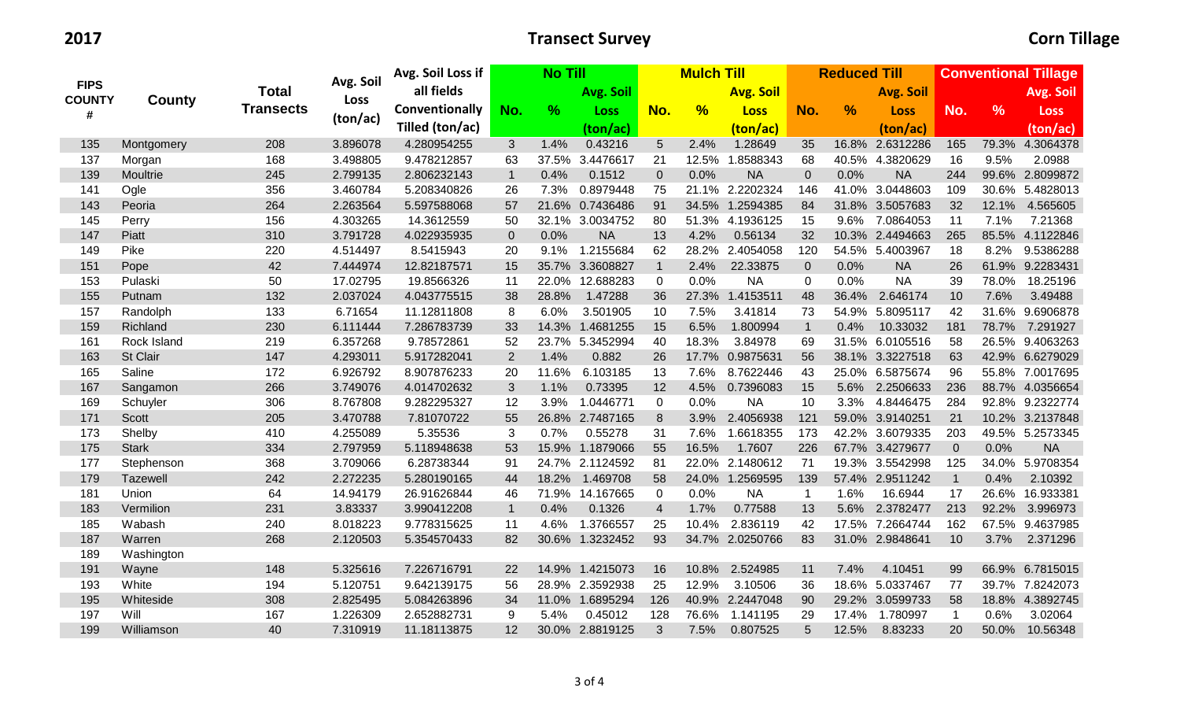|                    |              |                  | Avg. Soil | Avg. Soil Loss if | <b>No Till</b> |               |                 | <b>Mulch Till</b>        |               |                  |              | <b>Reduced Till</b> |                  | <b>Conventional Tillage</b> |               |                 |
|--------------------|--------------|------------------|-----------|-------------------|----------------|---------------|-----------------|--------------------------|---------------|------------------|--------------|---------------------|------------------|-----------------------------|---------------|-----------------|
| <b>FIPS</b>        |              | <b>Total</b>     |           | all fields        |                |               | Avg. Soil       |                          |               | <b>Avg. Soil</b> |              |                     | <b>Avg. Soil</b> |                             |               | Avg. Soil       |
| <b>COUNTY</b><br># | County       | <b>Transects</b> | Loss      | Conventionally    | No.            | $\frac{9}{6}$ | <b>Loss</b>     | No.                      | $\frac{9}{6}$ | <b>Loss</b>      | No.          | $\frac{9}{6}$       | <b>Loss</b>      | No.                         | $\frac{9}{6}$ | <b>Loss</b>     |
|                    |              |                  | (ton/ac)  | Tilled (ton/ac)   |                |               | (ton/ac)        |                          |               | (ton/ac)         |              |                     | (ton/ac)         |                             |               | (ton/ac)        |
| 135                | Montgomery   | 208              | 3.896078  | 4.280954255       | 3              | 1.4%          | 0.43216         | 5                        | 2.4%          | 1.28649          | 35           |                     | 16.8% 2.6312286  | 165                         |               | 79.3% 4.3064378 |
| 137                | Morgan       | 168              | 3.498805  | 9.478212857       | 63             | 37.5%         | 3.4476617       | 21                       |               | 12.5% 1.8588343  | 68           |                     | 40.5% 4.3820629  | 16                          | 9.5%          | 2.0988          |
| 139                | Moultrie     | 245              | 2.799135  | 2.806232143       | $\mathbf 1$    | 0.4%          | 0.1512          | $\boldsymbol{0}$         | 0.0%          | <b>NA</b>        | $\mathbf 0$  | 0.0%                | <b>NA</b>        | 244                         |               | 99.6% 2.8099872 |
| 141                | Ogle         | 356              | 3.460784  | 5.208340826       | 26             | 7.3%          | 0.8979448       | 75                       |               | 21.1% 2.2202324  | 146          |                     | 41.0% 3.0448603  | 109                         |               | 30.6% 5.4828013 |
| 143                | Peoria       | 264              | 2.263564  | 5.597588068       | 57             |               | 21.6% 0.7436486 | 91                       |               | 34.5% 1.2594385  | 84           |                     | 31.8% 3.5057683  | 32                          | 12.1%         | 4.565605        |
| 145                | Perry        | 156              | 4.303265  | 14.3612559        | 50             |               | 32.1% 3.0034752 | 80                       |               | 51.3% 4.1936125  | 15           | 9.6%                | 7.0864053        | 11                          | 7.1%          | 7.21368         |
| 147                | Piatt        | 310              | 3.791728  | 4.022935935       | $\mathbf 0$    | 0.0%          | <b>NA</b>       | 13                       | 4.2%          | 0.56134          | 32           |                     | 10.3% 2.4494663  | 265                         |               | 85.5% 4.1122846 |
| 149                | Pike         | 220              | 4.514497  | 8.5415943         | 20             |               | 9.1% 1.2155684  | 62                       |               | 28.2% 2.4054058  | 120          |                     | 54.5% 5.4003967  | 18                          |               | 8.2% 9.5386288  |
| 151                | Pope         | 42               | 7.444974  | 12.82187571       | 15             |               | 35.7% 3.3608827 | $\mathbf{1}$             | 2.4%          | 22.33875         | $\mathbf{0}$ | 0.0%                | <b>NA</b>        | 26                          |               | 61.9% 9.2283431 |
| 153                | Pulaski      | 50               | 17.02795  | 19.8566326        | 11             |               | 22.0% 12.688283 | $\mathbf 0$              | 0.0%          | <b>NA</b>        | $\pmb{0}$    | 0.0%                | <b>NA</b>        | 39                          | 78.0%         | 18.25196        |
| 155                | Putnam       | 132              | 2.037024  | 4.043775515       | 38             | 28.8%         | 1.47288         | 36                       | 27.3%         | 1.4153511        | 48           | 36.4%               | 2.646174         | 10                          | 7.6%          | 3.49488         |
| 157                | Randolph     | 133              | 6.71654   | 11.12811808       | 8              | 6.0%          | 3.501905        | 10                       | 7.5%          | 3.41814          | 73           |                     | 54.9% 5.8095117  | 42                          |               | 31.6% 9.6906878 |
| 159                | Richland     | 230              | 6.111444  | 7.286783739       | 33             |               | 14.3% 1.4681255 | 15                       | 6.5%          | 1.800994         | $\mathbf{1}$ | 0.4%                | 10.33032         | 181                         | 78.7%         | 7.291927        |
| 161                | Rock Island  | 219              | 6.357268  | 9.78572861        | 52             |               | 23.7% 5.3452994 | 40                       | 18.3%         | 3.84978          | 69           |                     | 31.5% 6.0105516  | 58                          |               | 26.5% 9.4063263 |
| 163                | St Clair     | 147              | 4.293011  | 5.917282041       | $\overline{2}$ | 1.4%          | 0.882           | 26                       |               | 17.7% 0.9875631  | 56           |                     | 38.1% 3.3227518  | 63                          |               | 42.9% 6.6279029 |
| 165                | Saline       | 172              | 6.926792  | 8.907876233       | 20             | 11.6%         | 6.103185        | 13                       | 7.6%          | 8.7622446        | 43           |                     | 25.0% 6.5875674  | 96                          |               | 55.8% 7.0017695 |
| 167                | Sangamon     | 266              | 3.749076  | 4.014702632       | $\sqrt{3}$     | 1.1%          | 0.73395         | 12                       | 4.5%          | 0.7396083        | 15           | 5.6%                | 2.2506633        | 236                         |               | 88.7% 4.0356654 |
| 169                | Schuyler     | 306              | 8.767808  | 9.282295327       | 12             | 3.9%          | 1.0446771       | $\mathbf 0$              | 0.0%          | <b>NA</b>        | 10           | 3.3%                | 4.8446475        | 284                         |               | 92.8% 9.2322774 |
| 171                | Scott        | 205              | 3.470788  | 7.81070722        | 55             |               | 26.8% 2.7487165 | 8                        |               | 3.9% 2.4056938   | 121          |                     | 59.0% 3.9140251  | 21                          |               | 10.2% 3.2137848 |
| 173                | Shelby       | 410              | 4.255089  | 5.35536           | 3              | 0.7%          | 0.55278         | 31                       | 7.6%          | 1.6618355        | 173          |                     | 42.2% 3.6079335  | 203                         |               | 49.5% 5.2573345 |
| 175                | <b>Stark</b> | 334              | 2.797959  | 5.118948638       | 53             |               | 15.9% 1.1879066 | 55                       | 16.5%         | 1.7607           | 226          |                     | 67.7% 3.4279677  | $\mathbf 0$                 | 0.0%          | <b>NA</b>       |
| 177                | Stephenson   | 368              | 3.709066  | 6.28738344        | 91             |               | 24.7% 2.1124592 | 81                       |               | 22.0% 2.1480612  | 71           |                     | 19.3% 3.5542998  | 125                         |               | 34.0% 5.9708354 |
| 179                | Tazewell     | 242              | 2.272235  | 5.280190165       | 44             |               | 18.2% 1.469708  | 58                       |               | 24.0% 1.2569595  | 139          |                     | 57.4% 2.9511242  | $\mathbf{1}$                | 0.4%          | 2.10392         |
| 181                | Union        | 64               | 14.94179  | 26.91626844       | 46             |               | 71.9% 14.167665 | $\mathbf 0$              | 0.0%          | <b>NA</b>        | $\mathbf{1}$ | 1.6%                | 16.6944          | 17                          |               | 26.6% 16.933381 |
| 183                | Vermilion    | 231              | 3.83337   | 3.990412208       | $\mathbf{1}$   | 0.4%          | 0.1326          | $\overline{\mathcal{A}}$ | 1.7%          | 0.77588          | 13           | 5.6%                | 2.3782477        | 213                         | 92.2%         | 3.996973        |
| 185                | Wabash       | 240              | 8.018223  | 9.778315625       | 11             | 4.6%          | 1.3766557       | 25                       | 10.4%         | 2.836119         | 42           |                     | 17.5% 7.2664744  | 162                         |               | 67.5% 9.4637985 |
| 187                | Warren       | 268              | 2.120503  | 5.354570433       | 82             |               | 30.6% 1.3232452 | 93                       |               | 34.7% 2.0250766  | 83           |                     | 31.0% 2.9848641  | 10                          | 3.7%          | 2.371296        |
| 189                | Washington   |                  |           |                   |                |               |                 |                          |               |                  |              |                     |                  |                             |               |                 |
| 191                | Wayne        | 148              | 5.325616  | 7.226716791       | 22             |               | 14.9% 1.4215073 | 16                       | 10.8%         | 2.524985         | 11           | 7.4%                | 4.10451          | 99                          |               | 66.9% 6.7815015 |
| 193                | White        | 194              | 5.120751  | 9.642139175       | 56             |               | 28.9% 2.3592938 | 25                       | 12.9%         | 3.10506          | 36           | 18.6%               | 5.0337467        | 77                          |               | 39.7% 7.8242073 |
| 195                | Whiteside    | 308              | 2.825495  | 5.084263896       | 34             |               | 11.0% 1.6895294 | 126                      |               | 40.9% 2.2447048  | 90           |                     | 29.2% 3.0599733  | 58                          |               | 18.8% 4.3892745 |
| 197                | Will         | 167              | 1.226309  | 2.652882731       | 9              | 5.4%          | 0.45012         | 128                      | 76.6%         | 1.141195         | 29           | 17.4%               | 1.780997         | $\mathbf{1}$                | 0.6%          | 3.02064         |
| 199                | Williamson   | 40               | 7.310919  | 11.18113875       | 12             |               | 30.0% 2.8819125 | 3                        | 7.5%          | 0.807525         | 5            | 12.5%               | 8.83233          | 20                          | 50.0%         | 10.56348        |